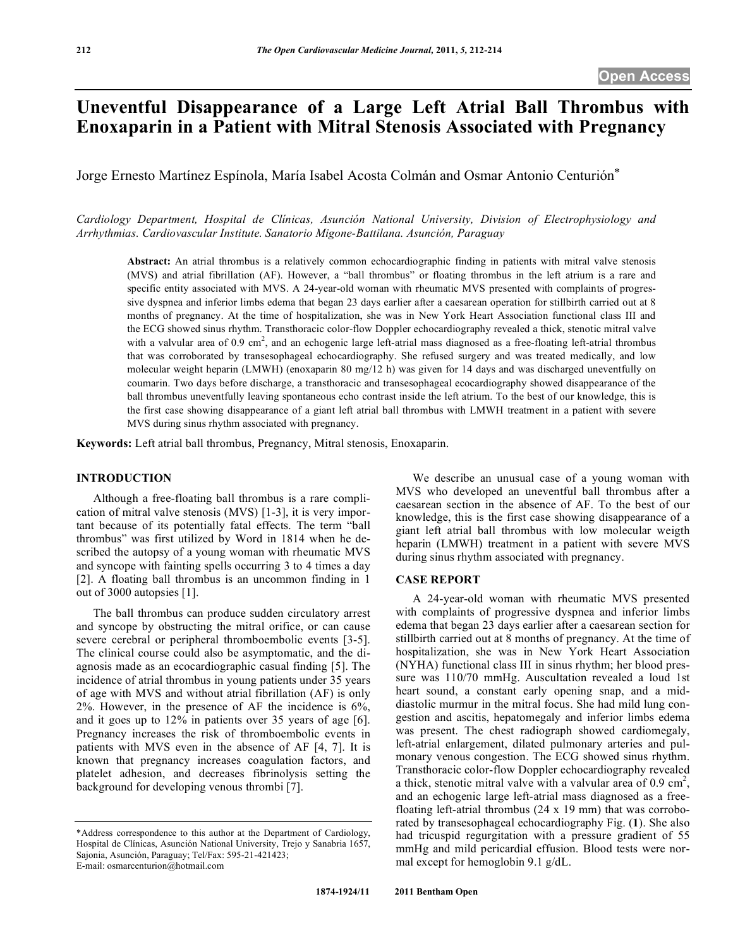# **Uneventful Disappearance of a Large Left Atrial Ball Thrombus with Enoxaparin in a Patient with Mitral Stenosis Associated with Pregnancy**

Jorge Ernesto Martínez Espínola, María Isabel Acosta Colmán and Osmar Antonio Centurión\*

*Cardiology Department, Hospital de Clínicas, Asunción National University, Division of Electrophysiology and Arrhythmias. Cardiovascular Institute. Sanatorio Migone-Battilana. Asunción, Paraguay* 

**Abstract:** An atrial thrombus is a relatively common echocardiographic finding in patients with mitral valve stenosis (MVS) and atrial fibrillation (AF). However, a "ball thrombus" or floating thrombus in the left atrium is a rare and specific entity associated with MVS. A 24-year-old woman with rheumatic MVS presented with complaints of progressive dyspnea and inferior limbs edema that began 23 days earlier after a caesarean operation for stillbirth carried out at 8 months of pregnancy. At the time of hospitalization, she was in New York Heart Association functional class III and the ECG showed sinus rhythm. Transthoracic color-flow Doppler echocardiography revealed a thick, stenotic mitral valve with a valvular area of 0.9 cm<sup>2</sup>, and an echogenic large left-atrial mass diagnosed as a free-floating left-atrial thrombus that was corroborated by transesophageal echocardiography. She refused surgery and was treated medically, and low molecular weight heparin (LMWH) (enoxaparin 80 mg/12 h) was given for 14 days and was discharged uneventfully on coumarin. Two days before discharge, a transthoracic and transesophageal ecocardiography showed disappearance of the ball thrombus uneventfully leaving spontaneous echo contrast inside the left atrium. To the best of our knowledge, this is the first case showing disappearance of a giant left atrial ball thrombus with LMWH treatment in a patient with severe MVS during sinus rhythm associated with pregnancy.

**Keywords:** Left atrial ball thrombus, Pregnancy, Mitral stenosis, Enoxaparin.

### **INTRODUCTION**

 Although a free-floating ball thrombus is a rare complication of mitral valve stenosis (MVS) [1-3], it is very important because of its potentially fatal effects. The term "ball thrombus" was first utilized by Word in 1814 when he described the autopsy of a young woman with rheumatic MVS and syncope with fainting spells occurring 3 to 4 times a day [2]. A floating ball thrombus is an uncommon finding in 1 out of 3000 autopsies [1].

 The ball thrombus can produce sudden circulatory arrest and syncope by obstructing the mitral orifice, or can cause severe cerebral or peripheral thromboembolic events [3-5]. The clinical course could also be asymptomatic, and the diagnosis made as an ecocardiographic casual finding [5]. The incidence of atrial thrombus in young patients under 35 years of age with MVS and without atrial fibrillation (AF) is only 2%. However, in the presence of AF the incidence is 6%, and it goes up to 12% in patients over 35 years of age [6]. Pregnancy increases the risk of thromboembolic events in patients with MVS even in the absence of AF [4, 7]. It is known that pregnancy increases coagulation factors, and platelet adhesion, and decreases fibrinolysis setting the background for developing venous thrombi [7].

 We describe an unusual case of a young woman with MVS who developed an uneventful ball thrombus after a caesarean section in the absence of AF. To the best of our knowledge, this is the first case showing disappearance of a giant left atrial ball thrombus with low molecular weigth heparin (LMWH) treatment in a patient with severe MVS during sinus rhythm associated with pregnancy.

## **CASE REPORT**

 A 24-year-old woman with rheumatic MVS presented with complaints of progressive dyspnea and inferior limbs edema that began 23 days earlier after a caesarean section for stillbirth carried out at 8 months of pregnancy. At the time of hospitalization, she was in New York Heart Association (NYHA) functional class III in sinus rhythm; her blood pressure was 110/70 mmHg. Auscultation revealed a loud 1st heart sound, a constant early opening snap, and a middiastolic murmur in the mitral focus. She had mild lung congestion and ascitis, hepatomegaly and inferior limbs edema was present. The chest radiograph showed cardiomegaly, left-atrial enlargement, dilated pulmonary arteries and pulmonary venous congestion. The ECG showed sinus rhythm. Transthoracic color-flow Doppler echocardiography revealed a thick, stenotic mitral valve with a valvular area of  $0.9 \text{ cm}^2$ , and an echogenic large left-atrial mass diagnosed as a freefloating left-atrial thrombus (24 x 19 mm) that was corroborated by transesophageal echocardiography Fig. (**1**). She also had tricuspid regurgitation with a pressure gradient of 55 mmHg and mild pericardial effusion. Blood tests were normal except for hemoglobin 9.1 g/dL.

<sup>\*</sup>Address correspondence to this author at the Department of Cardiology, Hospital de Clínicas, Asunción National University, Trejo y Sanabria 1657, Sajonia, Asunción, Paraguay; Tel/Fax: 595-21-421423; E-mail: osmarcenturion@hotmail.com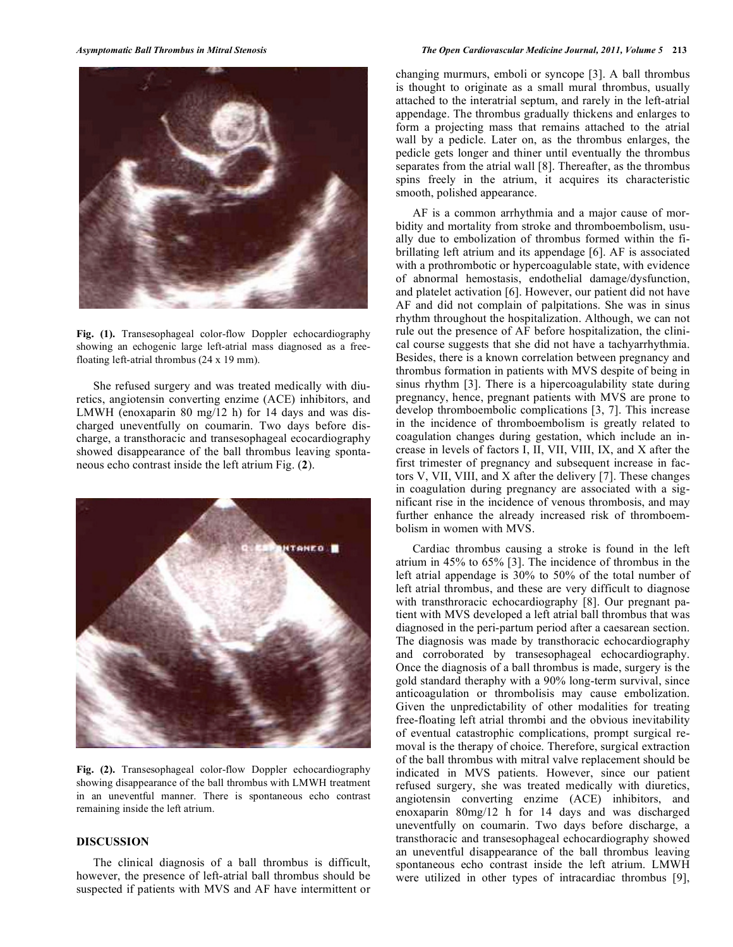

**Fig. (1).** Transesophageal color-flow Doppler echocardiography showing an echogenic large left-atrial mass diagnosed as a freefloating left-atrial thrombus (24 x 19 mm).

 She refused surgery and was treated medically with diuretics, angiotensin converting enzime (ACE) inhibitors, and LMWH (enoxaparin 80 mg/12 h) for 14 days and was discharged uneventfully on coumarin. Two days before discharge, a transthoracic and transesophageal ecocardiography showed disappearance of the ball thrombus leaving spontaneous echo contrast inside the left atrium Fig. (**2**).



**Fig. (2).** Transesophageal color-flow Doppler echocardiography showing disappearance of the ball thrombus with LMWH treatment in an uneventful manner. There is spontaneous echo contrast remaining inside the left atrium.

## **DISCUSSION**

 The clinical diagnosis of a ball thrombus is difficult, however, the presence of left-atrial ball thrombus should be suspected if patients with MVS and AF have intermittent or

changing murmurs, emboli or syncope [3]. A ball thrombus is thought to originate as a small mural thrombus, usually attached to the interatrial septum, and rarely in the left-atrial appendage. The thrombus gradually thickens and enlarges to form a projecting mass that remains attached to the atrial wall by a pedicle. Later on, as the thrombus enlarges, the pedicle gets longer and thiner until eventually the thrombus separates from the atrial wall [8]. Thereafter, as the thrombus spins freely in the atrium, it acquires its characteristic smooth, polished appearance.

 AF is a common arrhythmia and a major cause of morbidity and mortality from stroke and thromboembolism, usually due to embolization of thrombus formed within the fibrillating left atrium and its appendage [6]. AF is associated with a prothrombotic or hypercoagulable state, with evidence of abnormal hemostasis, endothelial damage/dysfunction, and platelet activation [6]. However, our patient did not have AF and did not complain of palpitations. She was in sinus rhythm throughout the hospitalization. Although, we can not rule out the presence of AF before hospitalization, the clinical course suggests that she did not have a tachyarrhythmia. Besides, there is a known correlation between pregnancy and thrombus formation in patients with MVS despite of being in sinus rhythm [3]. There is a hipercoagulability state during pregnancy, hence, pregnant patients with MVS are prone to develop thromboembolic complications [3, 7]. This increase in the incidence of thromboembolism is greatly related to coagulation changes during gestation, which include an increase in levels of factors I, II, VII, VIII, IX, and X after the first trimester of pregnancy and subsequent increase in factors V, VII, VIII, and X after the delivery [7]. These changes in coagulation during pregnancy are associated with a significant rise in the incidence of venous thrombosis, and may further enhance the already increased risk of thromboembolism in women with MVS.

 Cardiac thrombus causing a stroke is found in the left atrium in 45% to 65% [3]. The incidence of thrombus in the left atrial appendage is 30% to 50% of the total number of left atrial thrombus, and these are very difficult to diagnose with transthroracic echocardiography [8]. Our pregnant patient with MVS developed a left atrial ball thrombus that was diagnosed in the peri-partum period after a caesarean section. The diagnosis was made by transthoracic echocardiography and corroborated by transesophageal echocardiography. Once the diagnosis of a ball thrombus is made, surgery is the gold standard theraphy with a 90% long-term survival, since anticoagulation or thrombolisis may cause embolization. Given the unpredictability of other modalities for treating free-floating left atrial thrombi and the obvious inevitability of eventual catastrophic complications, prompt surgical removal is the therapy of choice. Therefore, surgical extraction of the ball thrombus with mitral valve replacement should be indicated in MVS patients. However, since our patient refused surgery, she was treated medically with diuretics, angiotensin converting enzime (ACE) inhibitors, and enoxaparin 80mg/12 h for 14 days and was discharged uneventfully on coumarin. Two days before discharge, a transthoracic and transesophageal echocardiography showed an uneventful disappearance of the ball thrombus leaving spontaneous echo contrast inside the left atrium. LMWH were utilized in other types of intracardiac thrombus [9],